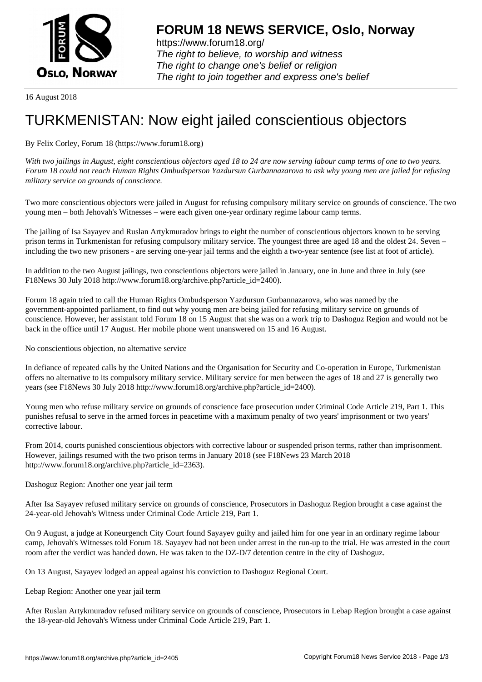

https://www.forum18.org/ The right to believe, to worship and witness The right to change one's belief or religion [The right to join together a](https://www.forum18.org/)nd express one's belief

16 August 2018

## [TURKMENISTA](https://www.forum18.org)N: Now eight jailed conscientious objectors

## By Felix Corley, Forum 18 (https://www.forum18.org)

*With two jailings in August, eight conscientious objectors aged 18 to 24 are now serving labour camp terms of one to two years. Forum 18 could not reach Human Rights Ombudsperson Yazdursun Gurbannazarova to ask why young men are jailed for refusing military service on grounds of conscience.*

Two more conscientious objectors were jailed in August for refusing compulsory military service on grounds of conscience. The two young men – both Jehovah's Witnesses – were each given one-year ordinary regime labour camp terms.

The jailing of Isa Sayayev and Ruslan Artykmuradov brings to eight the number of conscientious objectors known to be serving prison terms in Turkmenistan for refusing compulsory military service. The youngest three are aged 18 and the oldest 24. Seven – including the two new prisoners - are serving one-year jail terms and the eighth a two-year sentence (see list at foot of article).

In addition to the two August jailings, two conscientious objectors were jailed in January, one in June and three in July (see F18News 30 July 2018 http://www.forum18.org/archive.php?article\_id=2400).

Forum 18 again tried to call the Human Rights Ombudsperson Yazdursun Gurbannazarova, who was named by the government-appointed parliament, to find out why young men are being jailed for refusing military service on grounds of conscience. However, her assistant told Forum 18 on 15 August that she was on a work trip to Dashoguz Region and would not be back in the office until 17 August. Her mobile phone went unanswered on 15 and 16 August.

No conscientious objection, no alternative service

In defiance of repeated calls by the United Nations and the Organisation for Security and Co-operation in Europe, Turkmenistan offers no alternative to its compulsory military service. Military service for men between the ages of 18 and 27 is generally two years (see F18News 30 July 2018 http://www.forum18.org/archive.php?article\_id=2400).

Young men who refuse military service on grounds of conscience face prosecution under Criminal Code Article 219, Part 1. This punishes refusal to serve in the armed forces in peacetime with a maximum penalty of two years' imprisonment or two years' corrective labour.

From 2014, courts punished conscientious objectors with corrective labour or suspended prison terms, rather than imprisonment. However, jailings resumed with the two prison terms in January 2018 (see F18News 23 March 2018 http://www.forum18.org/archive.php?article\_id=2363).

## Dashoguz Region: Another one year jail term

After Isa Sayayev refused military service on grounds of conscience, Prosecutors in Dashoguz Region brought a case against the 24-year-old Jehovah's Witness under Criminal Code Article 219, Part 1.

On 9 August, a judge at Koneurgench City Court found Sayayev guilty and jailed him for one year in an ordinary regime labour camp, Jehovah's Witnesses told Forum 18. Sayayev had not been under arrest in the run-up to the trial. He was arrested in the court room after the verdict was handed down. He was taken to the DZ-D/7 detention centre in the city of Dashoguz.

On 13 August, Sayayev lodged an appeal against his conviction to Dashoguz Regional Court.

Lebap Region: Another one year jail term

After Ruslan Artykmuradov refused military service on grounds of conscience, Prosecutors in Lebap Region brought a case against the 18-year-old Jehovah's Witness under Criminal Code Article 219, Part 1.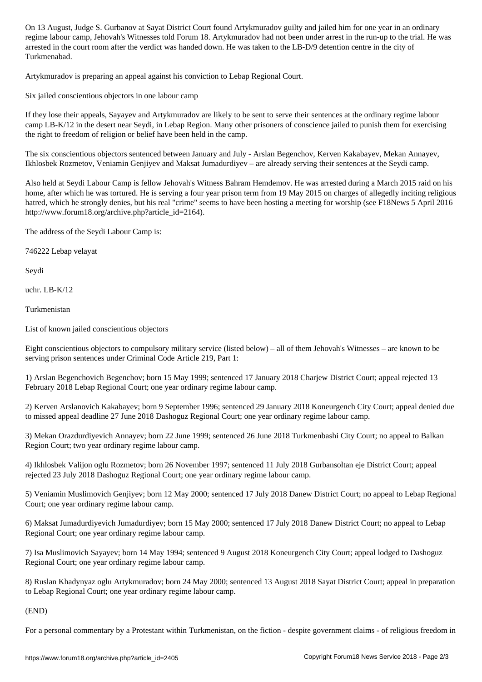regime labour camp, Jehovah's Witnesses told Forum 18. Artykmuradov had not been under arrest in the run-up to the trial. He was arrested in the court room after the verdict was handed down. He was taken to the LB-D/9 detention centre in the city of Turkmenabad.

Artykmuradov is preparing an appeal against his conviction to Lebap Regional Court.

Six jailed conscientious objectors in one labour camp

If they lose their appeals, Sayayev and Artykmuradov are likely to be sent to serve their sentences at the ordinary regime labour camp LB-K/12 in the desert near Seydi, in Lebap Region. Many other prisoners of conscience jailed to punish them for exercising the right to freedom of religion or belief have been held in the camp.

The six conscientious objectors sentenced between January and July - Arslan Begenchov, Kerven Kakabayev, Mekan Annayev, Ikhlosbek Rozmetov, Veniamin Genjiyev and Maksat Jumadurdiyev – are already serving their sentences at the Seydi camp.

Also held at Seydi Labour Camp is fellow Jehovah's Witness Bahram Hemdemov. He was arrested during a March 2015 raid on his home, after which he was tortured. He is serving a four year prison term from 19 May 2015 on charges of allegedly inciting religious hatred, which he strongly denies, but his real "crime" seems to have been hosting a meeting for worship (see F18News 5 April 2016 http://www.forum18.org/archive.php?article\_id=2164).

The address of the Seydi Labour Camp is:

746222 Lebap velayat

Seydi

uchr. LB-K/12

Turkmenistan

List of known jailed conscientious objectors

Eight conscientious objectors to compulsory military service (listed below) – all of them Jehovah's Witnesses – are known to be serving prison sentences under Criminal Code Article 219, Part 1:

1) Arslan Begenchovich Begenchov; born 15 May 1999; sentenced 17 January 2018 Charjew District Court; appeal rejected 13 February 2018 Lebap Regional Court; one year ordinary regime labour camp.

2) Kerven Arslanovich Kakabayev; born 9 September 1996; sentenced 29 January 2018 Koneurgench City Court; appeal denied due to missed appeal deadline 27 June 2018 Dashoguz Regional Court; one year ordinary regime labour camp.

3) Mekan Orazdurdiyevich Annayev; born 22 June 1999; sentenced 26 June 2018 Turkmenbashi City Court; no appeal to Balkan Region Court; two year ordinary regime labour camp.

4) Ikhlosbek Valijon oglu Rozmetov; born 26 November 1997; sentenced 11 July 2018 Gurbansoltan eje District Court; appeal rejected 23 July 2018 Dashoguz Regional Court; one year ordinary regime labour camp.

5) Veniamin Muslimovich Genjiyev; born 12 May 2000; sentenced 17 July 2018 Danew District Court; no appeal to Lebap Regional Court; one year ordinary regime labour camp.

6) Maksat Jumadurdiyevich Jumadurdiyev; born 15 May 2000; sentenced 17 July 2018 Danew District Court; no appeal to Lebap Regional Court; one year ordinary regime labour camp.

7) Isa Muslimovich Sayayev; born 14 May 1994; sentenced 9 August 2018 Koneurgench City Court; appeal lodged to Dashoguz Regional Court; one year ordinary regime labour camp.

8) Ruslan Khadynyaz oglu Artykmuradov; born 24 May 2000; sentenced 13 August 2018 Sayat District Court; appeal in preparation to Lebap Regional Court; one year ordinary regime labour camp.

## (END)

For a personal commentary by a Protestant within Turkmenistan, on the fiction - despite government claims - of religious freedom in